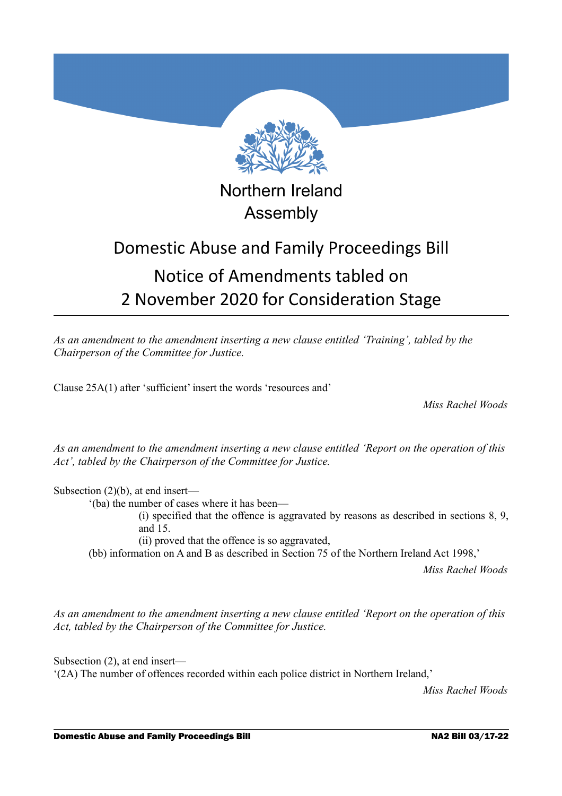

## Northern Ireland Assembly

# Domestic Abuse and Family Proceedings Bill Notice of Amendments tabled on 2 November 2020 for Consideration Stage

*As an amendment to the amendment inserting a new clause entitled 'Training', tabled by the Chairperson of the Committee for Justice.*

Clause 25A(1) after 'sufficient' insert the words 'resources and'

*Miss Rachel Woods*

*As an amendment to the amendment inserting a new clause entitled 'Report on the operation of this Act', tabled by the Chairperson of the Committee for Justice.*

Subsection (2)(b), at end insert—

'(ba) the number of cases where it has been—

(i) specified that the offence is aggravated by reasons as described in sections 8, 9, and 15.

(ii) proved that the offence is so aggravated,

(bb) information on A and B as described in Section 75 of the Northern Ireland Act 1998,'

*Miss Rachel Woods*

*As an amendment to the amendment inserting a new clause entitled 'Report on the operation of this Act, tabled by the Chairperson of the Committee for Justice.*

Subsection (2), at end insert— '(2A) The number of offences recorded within each police district in Northern Ireland,'

*Miss Rachel Woods*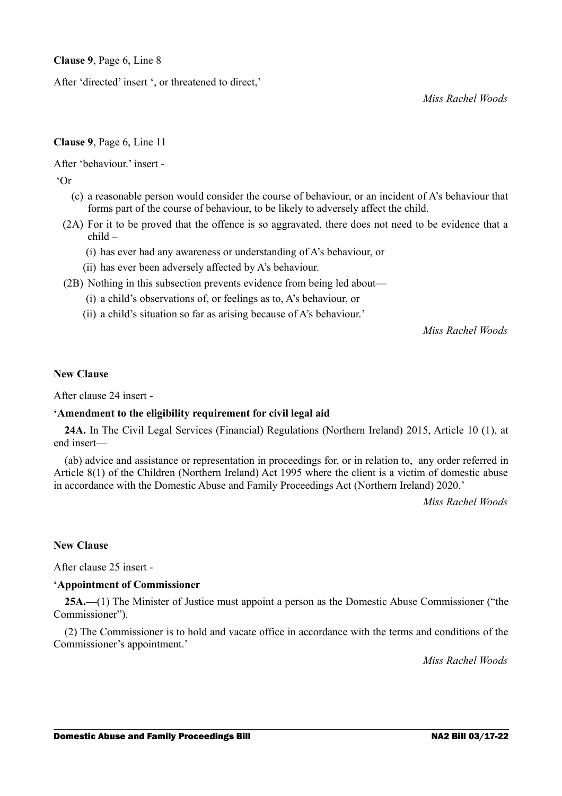**Clause 9**, Page 6, Line 8

After 'directed' insert ', or threatened to direct,'

*Miss Rachel Woods*

## **Clause 9**, Page 6, Line 11

After 'behaviour.' insert -

'Or

- (c) a reasonable person would consider the course of behaviour, or an incident of A's behaviour that forms part of the course of behaviour, to be likely to adversely affect the child.
- (2A) For it to be proved that the offence is so aggravated, there does not need to be evidence that a child –
	- (i) has ever had any awareness or understanding of A's behaviour, or
	- (ii) has ever been adversely affected by A's behaviour.
- (2B) Nothing in this subsection prevents evidence from being led about—
	- (i) a child's observations of, or feelings as to, A's behaviour, or
	- (ii) a child's situation so far as arising because of A's behaviour.'

*Miss Rachel Woods*

## **New Clause**

After clause 24 insert -

## **'Amendment to the eligibility requirement for civil legal aid**

**24A.** In The Civil Legal Services (Financial) Regulations (Northern Ireland) 2015, Article 10 (1), at end insert—

(ab) advice and assistance or representation in proceedings for, or in relation to, any order referred in Article 8(1) of the Children (Northern Ireland) Act 1995 where the client is a victim of domestic abuse in accordance with the Domestic Abuse and Family Proceedings Act (Northern Ireland) 2020.'

*Miss Rachel Woods*

#### **New Clause**

After clause 25 insert -

## **'Appointment of Commissioner**

**25A.—**(1) The Minister of Justice must appoint a person as the Domestic Abuse Commissioner ("the Commissioner").

(2) The Commissioner is to hold and vacate office in accordance with the terms and conditions of the Commissioner's appointment.'

*Miss Rachel Woods*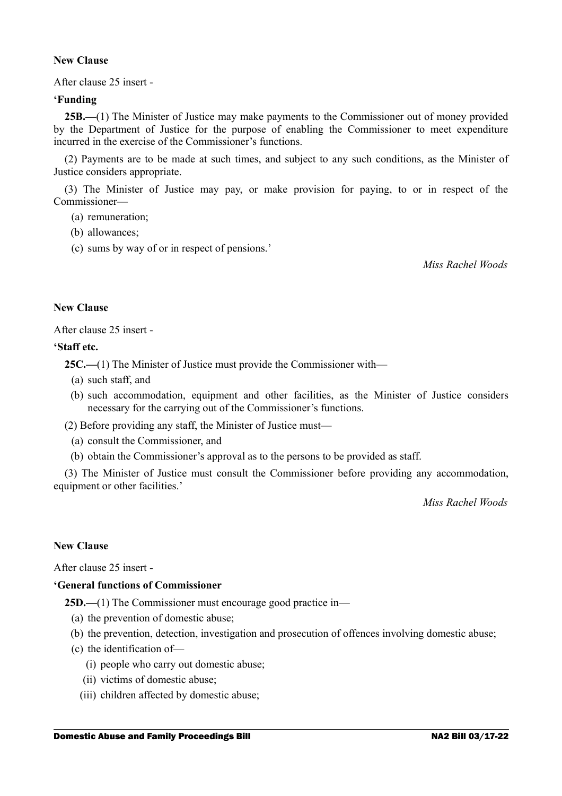## **New Clause**

After clause 25 insert -

#### **'Funding**

**25B.—**(1) The Minister of Justice may make payments to the Commissioner out of money provided by the Department of Justice for the purpose of enabling the Commissioner to meet expenditure incurred in the exercise of the Commissioner's functions.

(2) Payments are to be made at such times, and subject to any such conditions, as the Minister of Justice considers appropriate.

(3) The Minister of Justice may pay, or make provision for paying, to or in respect of the Commissioner—

(a) remuneration;

- (b) allowances;
- (c) sums by way of or in respect of pensions.'

*Miss Rachel Woods*

#### **New Clause**

After clause 25 insert -

#### **'Staff etc.**

**25C.—**(1) The Minister of Justice must provide the Commissioner with—

- (a) such staff, and
- (b) such accommodation, equipment and other facilities, as the Minister of Justice considers necessary for the carrying out of the Commissioner's functions.

(2) Before providing any staff, the Minister of Justice must—

- (a) consult the Commissioner, and
- (b) obtain the Commissioner's approval as to the persons to be provided as staff.

(3) The Minister of Justice must consult the Commissioner before providing any accommodation, equipment or other facilities.'

*Miss Rachel Woods*

## **New Clause**

After clause 25 insert -

## **'General functions of Commissioner**

**25D.—(1)** The Commissioner must encourage good practice in—

- (a) the prevention of domestic abuse;
- (b) the prevention, detection, investigation and prosecution of offences involving domestic abuse;
- (c) the identification of—
	- (i) people who carry out domestic abuse;
	- (ii) victims of domestic abuse;
	- (iii) children affected by domestic abuse;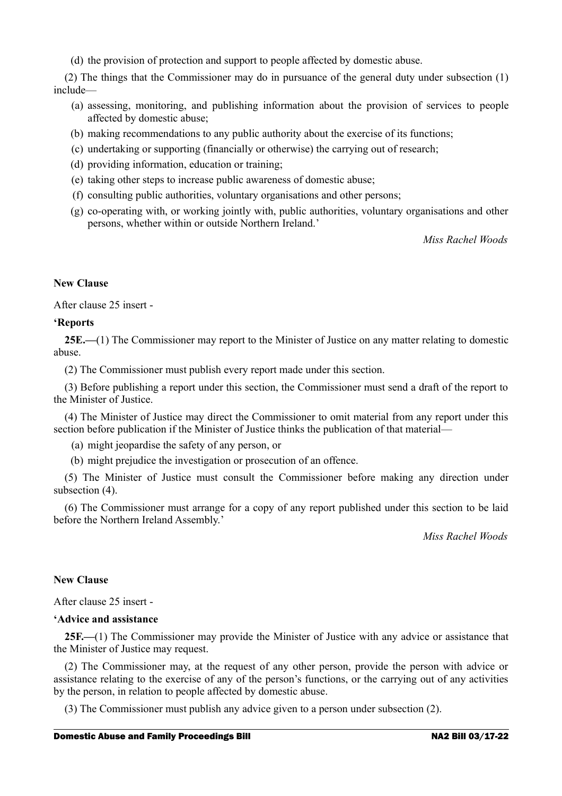(d) the provision of protection and support to people affected by domestic abuse.

(2) The things that the Commissioner may do in pursuance of the general duty under subsection (1) include—

- (a) assessing, monitoring, and publishing information about the provision of services to people affected by domestic abuse;
- (b) making recommendations to any public authority about the exercise of its functions;
- (c) undertaking or supporting (financially or otherwise) the carrying out of research;
- (d) providing information, education or training;
- (e) taking other steps to increase public awareness of domestic abuse;
- (f) consulting public authorities, voluntary organisations and other persons;
- (g) co-operating with, or working jointly with, public authorities, voluntary organisations and other persons, whether within or outside Northern Ireland.'

*Miss Rachel Woods*

## **New Clause**

After clause 25 insert -

## **'Reports**

**25E.—**(1) The Commissioner may report to the Minister of Justice on any matter relating to domestic abuse.

(2) The Commissioner must publish every report made under this section.

(3) Before publishing a report under this section, the Commissioner must send a draft of the report to the Minister of Justice.

(4) The Minister of Justice may direct the Commissioner to omit material from any report under this section before publication if the Minister of Justice thinks the publication of that material—

(a) might jeopardise the safety of any person, or

(b) might prejudice the investigation or prosecution of an offence.

(5) The Minister of Justice must consult the Commissioner before making any direction under subsection (4).

(6) The Commissioner must arrange for a copy of any report published under this section to be laid before the Northern Ireland Assembly.'

*Miss Rachel Woods*

#### **New Clause**

After clause 25 insert -

#### **'Advice and assistance**

**25F.—**(1) The Commissioner may provide the Minister of Justice with any advice or assistance that the Minister of Justice may request.

(2) The Commissioner may, at the request of any other person, provide the person with advice or assistance relating to the exercise of any of the person's functions, or the carrying out of any activities by the person, in relation to people affected by domestic abuse.

(3) The Commissioner must publish any advice given to a person under subsection (2).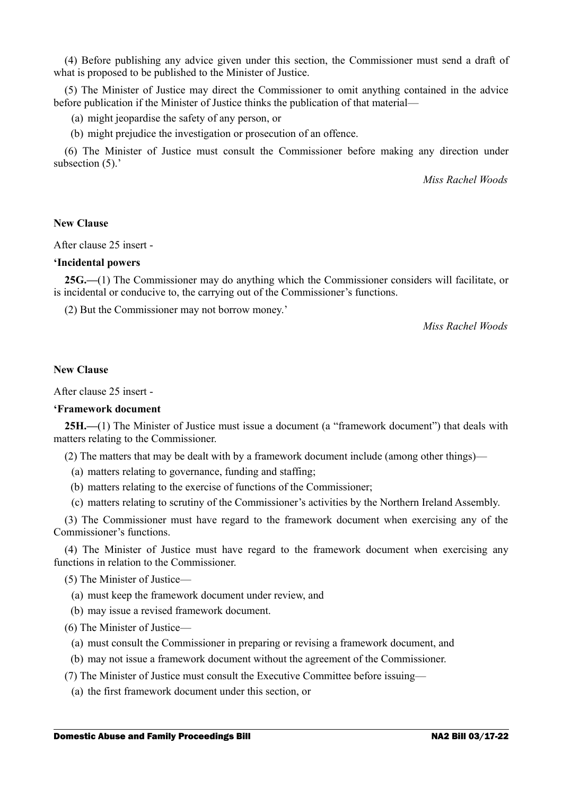(4) Before publishing any advice given under this section, the Commissioner must send a draft of what is proposed to be published to the Minister of Justice.

(5) The Minister of Justice may direct the Commissioner to omit anything contained in the advice before publication if the Minister of Justice thinks the publication of that material—

(a) might jeopardise the safety of any person, or

(b) might prejudice the investigation or prosecution of an offence.

(6) The Minister of Justice must consult the Commissioner before making any direction under subsection  $(5)$ .'

*Miss Rachel Woods*

#### **New Clause**

After clause 25 insert -

#### **'Incidental powers**

**25G.—**(1) The Commissioner may do anything which the Commissioner considers will facilitate, or is incidental or conducive to, the carrying out of the Commissioner's functions.

(2) But the Commissioner may not borrow money.'

*Miss Rachel Woods*

## **New Clause**

After clause 25 insert -

#### **'Framework document**

**25H.—**(1) The Minister of Justice must issue a document (a "framework document") that deals with matters relating to the Commissioner.

(2) The matters that may be dealt with by a framework document include (among other things)—

- (a) matters relating to governance, funding and staffing;
- (b) matters relating to the exercise of functions of the Commissioner;
- (c) matters relating to scrutiny of the Commissioner's activities by the Northern Ireland Assembly.

(3) The Commissioner must have regard to the framework document when exercising any of the Commissioner's functions.

(4) The Minister of Justice must have regard to the framework document when exercising any functions in relation to the Commissioner.

(5) The Minister of Justice—

- (a) must keep the framework document under review, and
- (b) may issue a revised framework document.
- (6) The Minister of Justice—
	- (a) must consult the Commissioner in preparing or revising a framework document, and
	- (b) may not issue a framework document without the agreement of the Commissioner.
- (7) The Minister of Justice must consult the Executive Committee before issuing—
	- (a) the first framework document under this section, or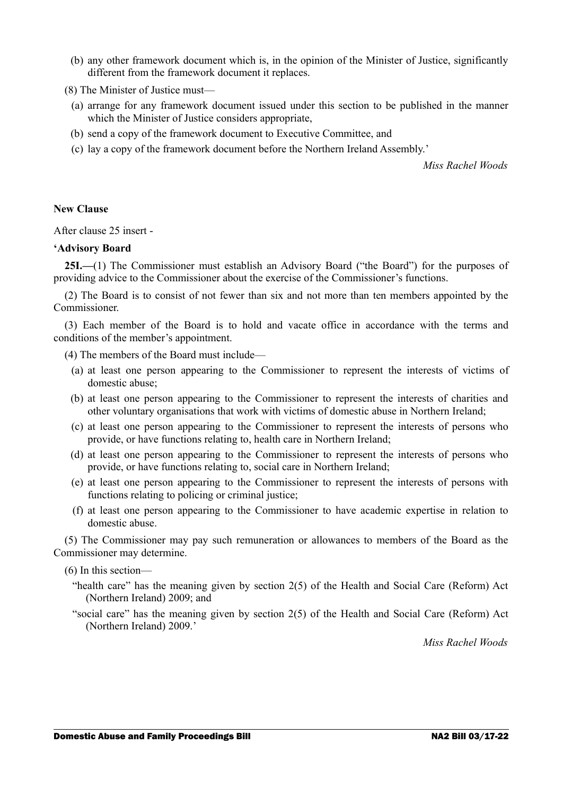(b) any other framework document which is, in the opinion of the Minister of Justice, significantly different from the framework document it replaces.

(8) The Minister of Justice must—

- (a) arrange for any framework document issued under this section to be published in the manner which the Minister of Justice considers appropriate,
- (b) send a copy of the framework document to Executive Committee, and
- (c) lay a copy of the framework document before the Northern Ireland Assembly.'

*Miss Rachel Woods*

#### **New Clause**

After clause 25 insert -

#### **'Advisory Board**

25I.—(1) The Commissioner must establish an Advisory Board ("the Board") for the purposes of providing advice to the Commissioner about the exercise of the Commissioner's functions.

(2) The Board is to consist of not fewer than six and not more than ten members appointed by the Commissioner.

(3) Each member of the Board is to hold and vacate office in accordance with the terms and conditions of the member's appointment.

(4) The members of the Board must include—

- (a) at least one person appearing to the Commissioner to represent the interests of victims of domestic abuse;
- (b) at least one person appearing to the Commissioner to represent the interests of charities and other voluntary organisations that work with victims of domestic abuse in Northern Ireland;
- (c) at least one person appearing to the Commissioner to represent the interests of persons who provide, or have functions relating to, health care in Northern Ireland;
- (d) at least one person appearing to the Commissioner to represent the interests of persons who provide, or have functions relating to, social care in Northern Ireland;
- (e) at least one person appearing to the Commissioner to represent the interests of persons with functions relating to policing or criminal justice;
- (f) at least one person appearing to the Commissioner to have academic expertise in relation to domestic abuse.

(5) The Commissioner may pay such remuneration or allowances to members of the Board as the Commissioner may determine.

(6) In this section—

- "health care" has the meaning given by section 2(5) of the Health and Social Care (Reform) Act (Northern Ireland) 2009; and
- "social care" has the meaning given by section 2(5) of the Health and Social Care (Reform) Act (Northern Ireland) 2009.'

*Miss Rachel Woods*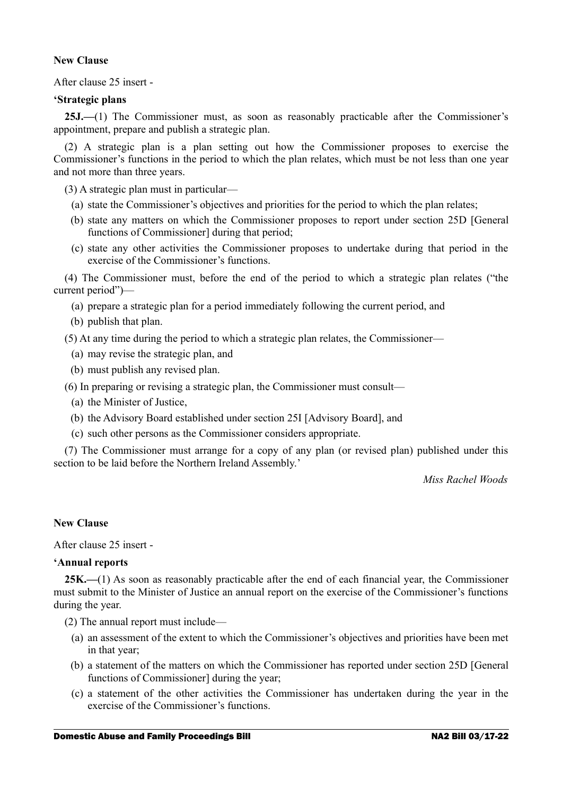## **New Clause**

After clause 25 insert -

#### **'Strategic plans**

25J.—(1) The Commissioner must, as soon as reasonably practicable after the Commissioner's appointment, prepare and publish a strategic plan.

(2) A strategic plan is a plan setting out how the Commissioner proposes to exercise the Commissioner's functions in the period to which the plan relates, which must be not less than one year and not more than three years.

(3) A strategic plan must in particular—

- (a) state the Commissioner's objectives and priorities for the period to which the plan relates;
- (b) state any matters on which the Commissioner proposes to report under section 25D [General functions of Commissioner] during that period;
- (c) state any other activities the Commissioner proposes to undertake during that period in the exercise of the Commissioner's functions.

(4) The Commissioner must, before the end of the period to which a strategic plan relates ("the current period")—

- (a) prepare a strategic plan for a period immediately following the current period, and
- (b) publish that plan.

(5) At any time during the period to which a strategic plan relates, the Commissioner—

- (a) may revise the strategic plan, and
- (b) must publish any revised plan.
- (6) In preparing or revising a strategic plan, the Commissioner must consult—
	- (a) the Minister of Justice,
	- (b) the Advisory Board established under section 25I [Advisory Board], and
	- (c) such other persons as the Commissioner considers appropriate.

(7) The Commissioner must arrange for a copy of any plan (or revised plan) published under this section to be laid before the Northern Ireland Assembly.'

*Miss Rachel Woods*

#### **New Clause**

After clause 25 insert -

#### **'Annual reports**

**25K.—**(1) As soon as reasonably practicable after the end of each financial year, the Commissioner must submit to the Minister of Justice an annual report on the exercise of the Commissioner's functions during the year.

(2) The annual report must include—

- (a) an assessment of the extent to which the Commissioner's objectives and priorities have been met in that year;
- (b) a statement of the matters on which the Commissioner has reported under section 25D [General functions of Commissioner] during the year;
- (c) a statement of the other activities the Commissioner has undertaken during the year in the exercise of the Commissioner's functions.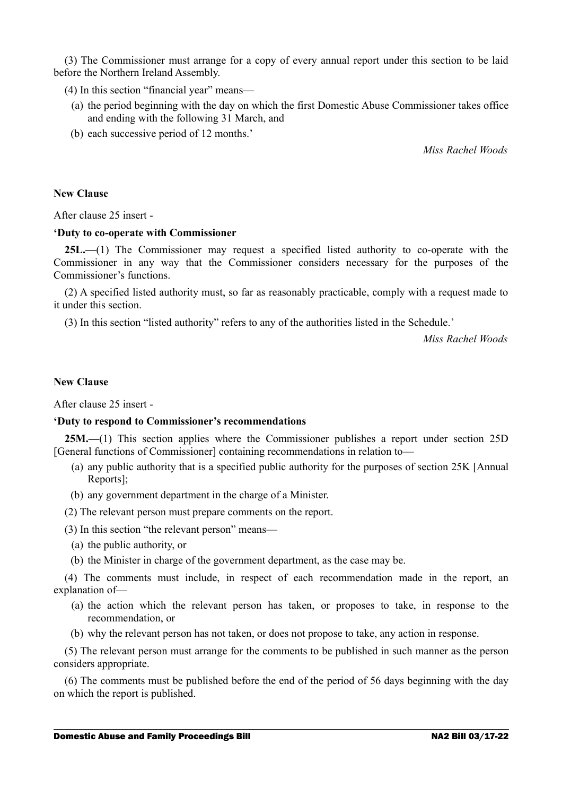(3) The Commissioner must arrange for a copy of every annual report under this section to be laid before the Northern Ireland Assembly.

(4) In this section "financial year" means—

- (a) the period beginning with the day on which the first Domestic Abuse Commissioner takes office and ending with the following 31 March, and
- (b) each successive period of 12 months.'

*Miss Rachel Woods*

#### **New Clause**

After clause 25 insert -

#### **'Duty to co-operate with Commissioner**

**25L.—**(1) The Commissioner may request a specified listed authority to co-operate with the Commissioner in any way that the Commissioner considers necessary for the purposes of the Commissioner's functions.

(2) A specified listed authority must, so far as reasonably practicable, comply with a request made to it under this section.

(3) In this section "listed authority" refers to any of the authorities listed in the Schedule.'

*Miss Rachel Woods*

#### **New Clause**

After clause 25 insert -

#### **'Duty to respond to Commissioner's recommendations**

**25M.—**(1) This section applies where the Commissioner publishes a report under section 25D [General functions of Commissioner] containing recommendations in relation to—

- (a) any public authority that is a specified public authority for the purposes of section 25K [Annual Reports];
- (b) any government department in the charge of a Minister.
- (2) The relevant person must prepare comments on the report.
- (3) In this section "the relevant person" means—
	- (a) the public authority, or
	- (b) the Minister in charge of the government department, as the case may be.

(4) The comments must include, in respect of each recommendation made in the report, an explanation of—

- (a) the action which the relevant person has taken, or proposes to take, in response to the recommendation, or
- (b) why the relevant person has not taken, or does not propose to take, any action in response.

(5) The relevant person must arrange for the comments to be published in such manner as the person considers appropriate.

(6) The comments must be published before the end of the period of 56 days beginning with the day on which the report is published.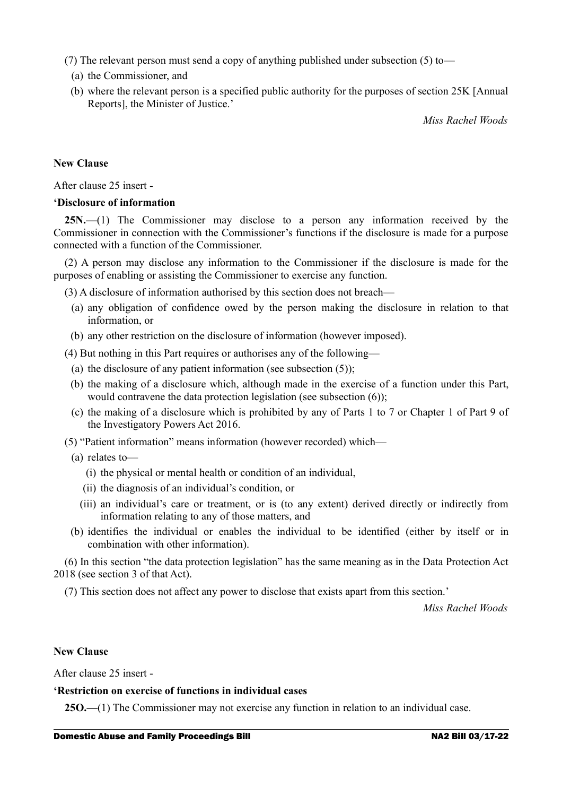- (7) The relevant person must send a copy of anything published under subsection (5) to—
	- (a) the Commissioner, and
	- (b) where the relevant person is a specified public authority for the purposes of section 25K [Annual Reports], the Minister of Justice.'

*Miss Rachel Woods*

## **New Clause**

After clause 25 insert -

#### **'Disclosure of information**

**25N.—**(1) The Commissioner may disclose to a person any information received by the Commissioner in connection with the Commissioner's functions if the disclosure is made for a purpose connected with a function of the Commissioner.

(2) A person may disclose any information to the Commissioner if the disclosure is made for the purposes of enabling or assisting the Commissioner to exercise any function.

(3) A disclosure of information authorised by this section does not breach—

- (a) any obligation of confidence owed by the person making the disclosure in relation to that information, or
- (b) any other restriction on the disclosure of information (however imposed).

(4) But nothing in this Part requires or authorises any of the following—

- (a) the disclosure of any patient information (see subsection  $(5)$ );
- (b) the making of a disclosure which, although made in the exercise of a function under this Part, would contravene the data protection legislation (see subsection (6));
- (c) the making of a disclosure which is prohibited by any of Parts 1 to 7 or Chapter 1 of Part 9 of the Investigatory Powers Act 2016.
- (5) "Patient information" means information (however recorded) which—

#### (a) relates to—

- (i) the physical or mental health or condition of an individual,
- (ii) the diagnosis of an individual's condition, or
- (iii) an individual's care or treatment, or is (to any extent) derived directly or indirectly from information relating to any of those matters, and
- (b) identifies the individual or enables the individual to be identified (either by itself or in combination with other information).

(6) In this section "the data protection legislation" has the same meaning as in the Data Protection Act 2018 (see section 3 of that Act).

(7) This section does not affect any power to disclose that exists apart from this section.'

*Miss Rachel Woods*

#### **New Clause**

After clause 25 insert -

#### **'Restriction on exercise of functions in individual cases**

**25O.—**(1) The Commissioner may not exercise any function in relation to an individual case.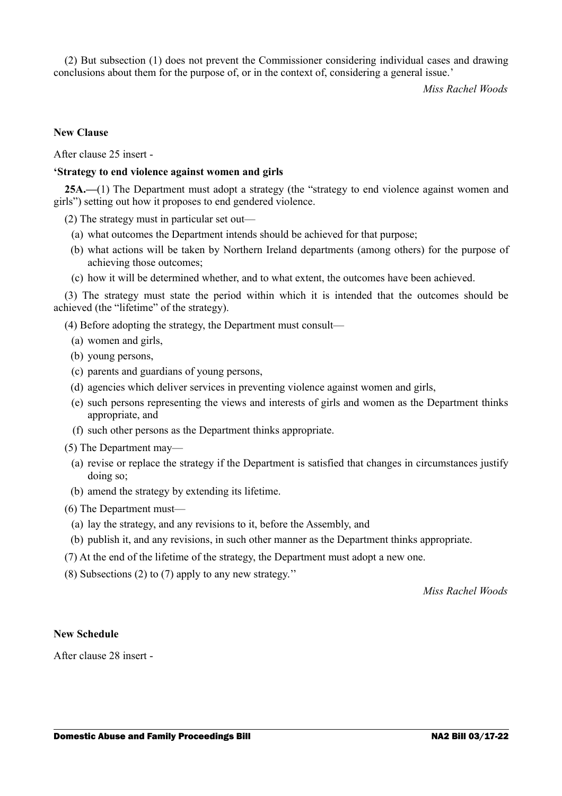(2) But subsection (1) does not prevent the Commissioner considering individual cases and drawing conclusions about them for the purpose of, or in the context of, considering a general issue.'

*Miss Rachel Woods*

## **New Clause**

After clause 25 insert -

#### **'Strategy to end violence against women and girls**

**25A.—**(1) The Department must adopt a strategy (the "strategy to end violence against women and girls") setting out how it proposes to end gendered violence.

(2) The strategy must in particular set out—

- (a) what outcomes the Department intends should be achieved for that purpose;
- (b) what actions will be taken by Northern Ireland departments (among others) for the purpose of achieving those outcomes;
- (c) how it will be determined whether, and to what extent, the outcomes have been achieved.

(3) The strategy must state the period within which it is intended that the outcomes should be achieved (the "lifetime" of the strategy).

(4) Before adopting the strategy, the Department must consult—

- (a) women and girls,
- (b) young persons,
- (c) parents and guardians of young persons,
- (d) agencies which deliver services in preventing violence against women and girls,
- (e) such persons representing the views and interests of girls and women as the Department thinks appropriate, and
- (f) such other persons as the Department thinks appropriate.
- (5) The Department may—
	- (a) revise or replace the strategy if the Department is satisfied that changes in circumstances justify doing so;
	- (b) amend the strategy by extending its lifetime.

(6) The Department must—

- (a) lay the strategy, and any revisions to it, before the Assembly, and
- (b) publish it, and any revisions, in such other manner as the Department thinks appropriate.
- (7) At the end of the lifetime of the strategy, the Department must adopt a new one.
- (8) Subsections (2) to (7) apply to any new strategy.''

*Miss Rachel Woods*

#### **New Schedule**

After clause 28 insert -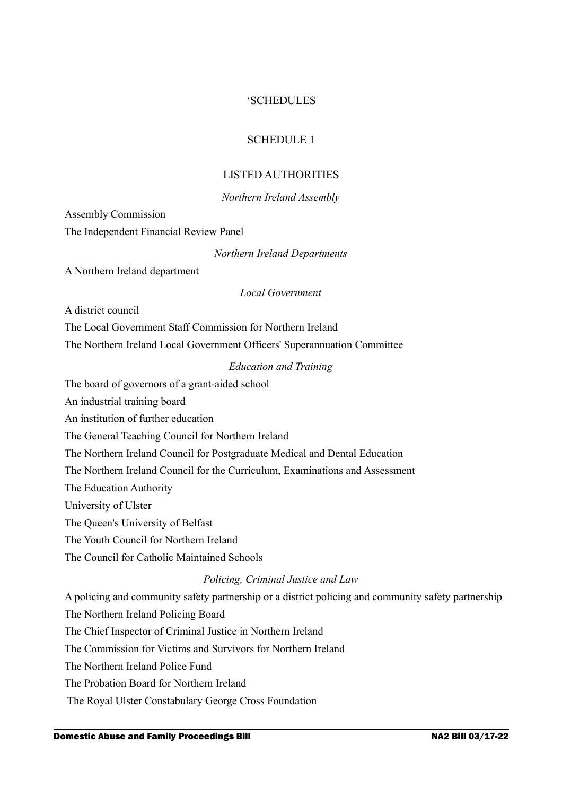## 'SCHEDULES

## SCHEDULE 1

## LISTED AUTHORITIES

## *Northern Ireland Assembly*

Assembly Commission The Independent Financial Review Panel

*Northern Ireland Departments*

A Northern Ireland department

## *Local Government*

A district council

The Local Government Staff Commission for Northern Ireland

The Northern Ireland Local Government Officers' Superannuation Committee

## *Education and Training*

The board of governors of a grant-aided school

An industrial training board

An institution of further education

The General Teaching Council for Northern Ireland

The Northern Ireland Council for Postgraduate Medical and Dental Education

The Northern Ireland Council for the Curriculum, Examinations and Assessment

The Education Authority

University of Ulster

The Queen's University of Belfast

The Youth Council for Northern Ireland

The Council for Catholic Maintained Schools

## *Policing, Criminal Justice and Law*

A policing and community safety partnership or a district policing and community safety partnership The Northern Ireland Policing Board

The Chief Inspector of Criminal Justice in Northern Ireland

The Commission for Victims and Survivors for Northern Ireland

The Northern Ireland Police Fund

The Probation Board for Northern Ireland

The Royal Ulster Constabulary George Cross Foundation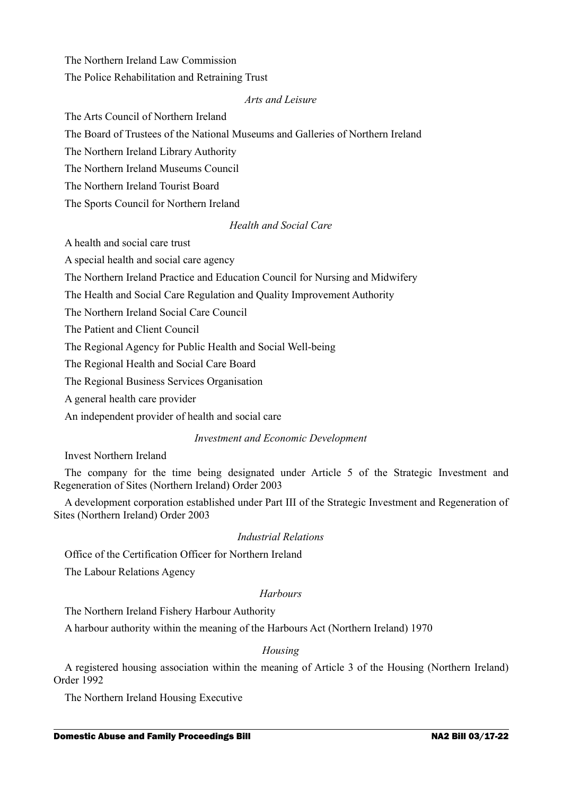The Northern Ireland Law Commission The Police Rehabilitation and Retraining Trust

## *Arts and Leisure*

The Arts Council of Northern Ireland

The Board of Trustees of the National Museums and Galleries of Northern Ireland

The Northern Ireland Library Authority

The Northern Ireland Museums Council

The Northern Ireland Tourist Board

The Sports Council for Northern Ireland

## *Health and Social Care*

A health and social care trust

A special health and social care agency

The Northern Ireland Practice and Education Council for Nursing and Midwifery

The Health and Social Care Regulation and Quality Improvement Authority

The Northern Ireland Social Care Council

The Patient and Client Council

The Regional Agency for Public Health and Social Well-being

The Regional Health and Social Care Board

The Regional Business Services Organisation

A general health care provider

An independent provider of health and social care

## *Investment and Economic Development*

Invest Northern Ireland

The company for the time being designated under Article 5 of the Strategic Investment and Regeneration of Sites (Northern Ireland) Order 2003

A development corporation established under Part III of the Strategic Investment and Regeneration of Sites (Northern Ireland) Order 2003

## *Industrial Relations*

Office of the Certification Officer for Northern Ireland

The Labour Relations Agency

## *Harbours*

The Northern Ireland Fishery Harbour Authority

A harbour authority within the meaning of the Harbours Act (Northern Ireland) 1970

## *Housing*

A registered housing association within the meaning of Article 3 of the Housing (Northern Ireland) Order 1992

The Northern Ireland Housing Executive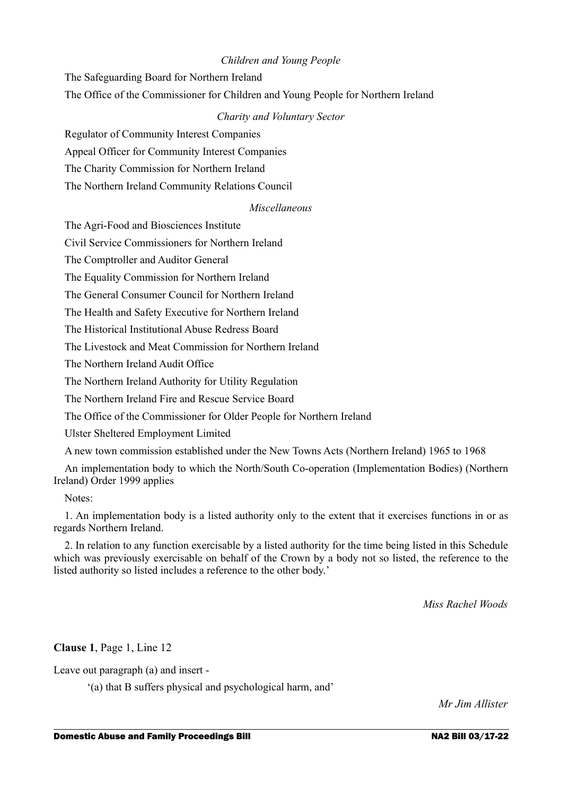## *Children and Young People*

The Safeguarding Board for Northern Ireland

The Office of the Commissioner for Children and Young People for Northern Ireland

## *Charity and Voluntary Sector*

Regulator of Community Interest Companies

Appeal Officer for Community Interest Companies

The Charity Commission for Northern Ireland

The Northern Ireland Community Relations Council

## *Miscellaneous*

The Agri-Food and Biosciences Institute

Civil Service Commissioners for Northern Ireland

The Comptroller and Auditor General

The Equality Commission for Northern Ireland

The General Consumer Council for Northern Ireland

The Health and Safety Executive for Northern Ireland

The Historical Institutional Abuse Redress Board

The Livestock and Meat Commission for Northern Ireland

The Northern Ireland Audit Office

The Northern Ireland Authority for Utility Regulation

The Northern Ireland Fire and Rescue Service Board

The Office of the Commissioner for Older People for Northern Ireland

Ulster Sheltered Employment Limited

A new town commission established under the New Towns Acts (Northern Ireland) 1965 to 1968

An implementation body to which the North/South Co-operation (Implementation Bodies) (Northern Ireland) Order 1999 applies

Notes:

1. An implementation body is a listed authority only to the extent that it exercises functions in or as regards Northern Ireland.

2. In relation to any function exercisable by a listed authority for the time being listed in this Schedule which was previously exercisable on behalf of the Crown by a body not so listed, the reference to the listed authority so listed includes a reference to the other body.'

*Miss Rachel Woods*

**Clause 1**, Page 1, Line 12

Leave out paragraph (a) and insert -

'(a) that B suffers physical and psychological harm, and'

*Mr Jim Allister*